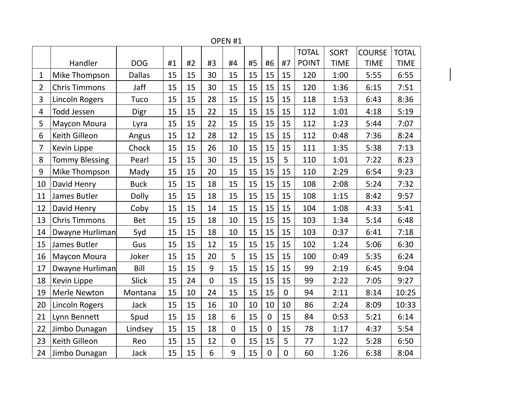Handler | DOG |#1 |#2 |#3 |#4 |#5 |#6 |#7 TOTAL POINT 120 SORT TIME **COURSE** TIME TOTAL TIME 1 | Mike Thompson | Dallas | 15 | 15 | 30 | 15 | 15 | 15 | 15 | 120 | 1:00 | 5:55 | 6:55 2 Chris Timmons | Jaff | 15 | 15 | 30 | 15 | 15 | 15 | 15 | 120 | 1:36 | 6:15 | 7:51 3 Lincoln Rogers | Tuco | 15 | 15 | 28 | 15 | 15 | 15 | 15 | 118 | 1:53 | 6:43 | 8:36 4 |Todd Jessen | Digr | 15 | 15 | 22 | 15 | 15 | 15 | 15 | 112 | 1:01 | 4:18 | 5:19 5 |Maycon Moura | Lyra | 15 | 15 | 22 | 15 | 15 | 15 | 15 | 112 | 1:23 | 5:44 | 7:07 6 | Keith Gilleon | Angus | 15 | 12 | 28 | 12 | 15 | 15 | 15 | 112 | 0:48 | 7:36 | 8:24 7 |Kevin Lippe | Chock | 15 | 15 | 26 | 10 | 15 | 15 | 11 | 1:35 | 5:38 | 7:13 8 Tommy Blessing | Pearl | 15 | 15 | 30 | 15 | 15 | 15 | 5 | 110 | 1:01 | 7:22 | 8:23 9 | Mike Thompson | Mady | 15 | 15 | 20 | 15 | 15 | 15 | 15 | 110 | 2:29 | 6:54 | 9:23 10 | David Henry | Buck | 15 | 15 | 18 | 15 | 15 | 15 | 15 | 108 | 2:08 | 5:24 | 7:32 11 |James Butler | Dolly | 15 | 15 | 18 | 15 | 15 | 15 | 108 | 1:15 | 8:42 | 9:57 12 |David Henry | Coby | 15 | 15 | 14 | 15 | 15 | 15 | 15 | 104 | 1:08 | 4:33 | 5:41 13 Chris Timmons | Bet | 15 | 15 | 18 | 10 | 15 | 15 | 15 | 103 | 1:34 | 5:14 | 6:48 14 Dwayne Hurliman Syd 15 | 15 | 18 | 10 | 15 | 15 | 15 | 103 | 0:37 | 6:41 | 7:18 15 James Butler | Gus | 15 | 15 | 12 | 15 | 15 | 15 | 15 | 102 | 1:24 | 5:06 | 6:30 16 | Maycon Moura | Joker | 15 | 15 | 20 | 5 | 15 | 15 | 15 | 100 | 0:49 | 5:35 | 6:24 17 Dwayne Hurliman Bill | 15 | 15 | 9 | 15 | 15 | 15 | 15 | 99 | 2:19 | 6:45 | 9:04 18 |Kevin Lippe | Slick | 15 | 24 | 0 | 15 | 15 | 15 | 15 | 99 | 2:22 | 7:05 | 9:27 19 | Merle Newton | Montana | 15 | 10 | 24 | 15 | 15 | 15 | 0 | 94 | 2:11 | 8:14 | 10:25 20 Lincoln Rogers | Jack | 15 | 15 | 16 | 10 | 10 | 10 | 10 | 86 | 2:24 | 8:09 | 10:33 21 Lynn Bennett | Spud | 15 | 15 | 18 | 6 | 15 | 0 | 15 | 84 | 0:53 | 5:21 | 6:14 22 Jimbo Dunagan | Lindsey | 15 | 15 | 18 | 0 | 15 | 0 | 15 | 78 | 1:17 | 4:37 | 5:54 23 |Keith Gilleon | Reo | 15 | 15 | 12 | 0 | 15 | 15 | 5 | 77 | 1:22 | 5:28 | 6:50 24 Jimbo Dunagan | Jack | 15 | 15 | 6 | 9 | 15 | 0 | 0 | 60 | 1:26 | 6:38 | 8:04

OPEN #1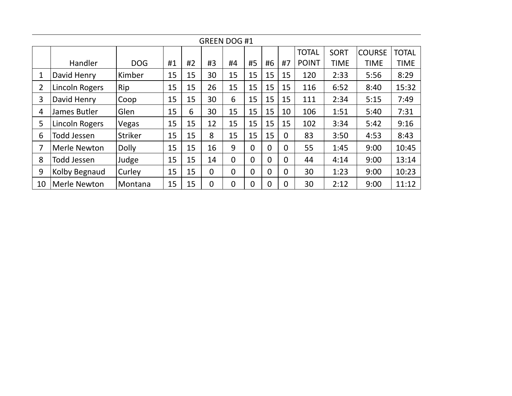| <b>GREEN DOG #1</b> |                       |                |    |    |                |                |                |                |                |              |             |               |              |
|---------------------|-----------------------|----------------|----|----|----------------|----------------|----------------|----------------|----------------|--------------|-------------|---------------|--------------|
|                     |                       |                |    |    |                |                |                |                |                | <b>TOTAL</b> | <b>SORT</b> | <b>COURSE</b> | <b>TOTAL</b> |
|                     | Handler               | <b>DOG</b>     | #1 | #2 | #3             | #4             | #5             | #6             | #7             | <b>POINT</b> | <b>TIME</b> | <b>TIME</b>   | <b>TIME</b>  |
| 1                   | David Henry           | Kimber         | 15 | 15 | 30             | 15             | 15             | 15             | 15             | 120          | 2:33        | 5:56          | 8:29         |
| 2                   | <b>Lincoln Rogers</b> | Rip            | 15 | 15 | 26             | 15             | 15             | 15             | 15             | 116          | 6:52        | 8:40          | 15:32        |
| 3                   | David Henry           | Coop           | 15 | 15 | 30             | 6              | 15             | 15             | 15             | 111          | 2:34        | 5:15          | 7:49         |
| 4                   | James Butler          | Glen           | 15 | 6  | 30             | 15             | 15             | 15             | 10             | 106          | 1:51        | 5:40          | 7:31         |
| 5                   | Lincoln Rogers        | Vegas          | 15 | 15 | 12             | 15             | 15             | 15             | 15             | 102          | 3:34        | 5:42          | 9:16         |
| 6                   | <b>Todd Jessen</b>    | <b>Striker</b> | 15 | 15 | 8              | 15             | 15             | 15             | $\overline{0}$ | 83           | 3:50        | 4:53          | 8:43         |
| 7                   | <b>Merle Newton</b>   | <b>Dolly</b>   | 15 | 15 | 16             | 9              | $\Omega$       | $\Omega$       | $\overline{0}$ | 55           | 1:45        | 9:00          | 10:45        |
| 8                   | <b>Todd Jessen</b>    | Judge          | 15 | 15 | 14             | $\mathbf 0$    | $\overline{0}$ | $\overline{0}$ | $\overline{0}$ | 44           | 4:14        | 9:00          | 13:14        |
| 9                   | Kolby Begnaud         | Curley         | 15 | 15 | $\overline{0}$ | $\overline{0}$ | $\overline{0}$ | $\overline{0}$ | $\Omega$       | 30           | 1:23        | 9:00          | 10:23        |
| 10                  | Merle Newton          | Montana        | 15 | 15 | $\overline{0}$ | $\overline{0}$ | $\mathbf 0$    | $\overline{0}$ | $\Omega$       | 30           | 2:12        | 9:00          | 11:12        |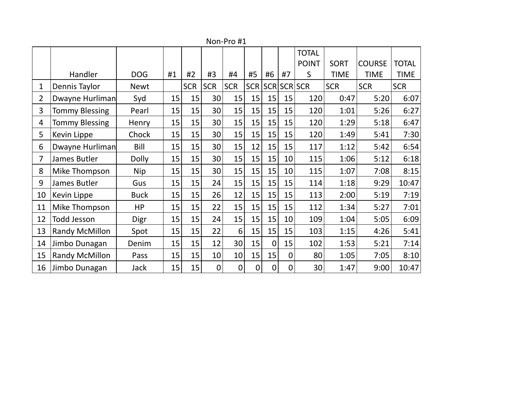|                |                       |              |    |            |             |             |             |             |                | <b>TOTAL</b> |             |               |              |
|----------------|-----------------------|--------------|----|------------|-------------|-------------|-------------|-------------|----------------|--------------|-------------|---------------|--------------|
|                |                       |              |    |            |             |             |             |             |                | <b>POINT</b> | <b>SORT</b> | <b>COURSE</b> | <b>TOTAL</b> |
|                | Handler               | <b>DOG</b>   | #1 | #2         | #3          | #4          | #5          | #6          | #7             | S            | TIME        | <b>TIME</b>   | <b>TIME</b>  |
| 1              | Dennis Taylor         | <b>Newt</b>  |    | <b>SCR</b> | <b>SCR</b>  | <b>SCR</b>  | <b>SCR</b>  |             |                | SCR SCR SCR  | <b>SCR</b>  | <b>SCR</b>    | <b>SCR</b>   |
| $\overline{2}$ | Dwayne Hurliman       | Syd          | 15 | 15         | 30          | 15          | 15          | 15          | 15             | 120          | 0:47        | 5:20          | 6:07         |
| 3              | <b>Tommy Blessing</b> | Pearl        | 15 | 15         | 30          | 15          | 15          | 15          | 15             | 120          | 1:01        | 5:26          | 6:27         |
| 4              | <b>Tommy Blessing</b> | Henry        | 15 | 15         | 30          | 15          | 15          | 15          | 15             | 120          | 1:29        | 5:18          | 6:47         |
| 5              | Kevin Lippe           | Chock        | 15 | 15         | 30          | 15          | 15          | 15          | 15             | 120          | 1:49        | 5:41          | 7:30         |
| 6              | Dwayne Hurliman       | Bill         | 15 | 15         | 30          | 15          | 12          | 15          | 15             | 117          | 1:12        | 5:42          | 6:54         |
| 7              | James Butler          | <b>Dolly</b> | 15 | 15         | 30          | 15          | 15          | 15          | 10             | 115          | 1:06        | 5:12          | 6:18         |
| 8              | Mike Thompson         | <b>Nip</b>   | 15 | 15         | 30          | 15          | 15          | 15          | 10             | 115          | 1:07        | 7:08          | 8:15         |
| 9              | James Butler          | Gus          | 15 | 15         | 24          | 15          | 15          | 15          | 15             | 114          | 1:18        | 9:29          | 10:47        |
| 10             | Kevin Lippe           | <b>Buck</b>  | 15 | 15         | 26          | 12          | 15          | 15          | 15             | 113          | 2:00        | 5:19          | 7:19         |
| 11             | Mike Thompson         | HP           | 15 | 15         | 22          | 15          | 15          | 15          | 15             | 112          | 1:34        | 5:27          | 7:01         |
| 12             | <b>Todd Jesson</b>    | Digr         | 15 | 15         | 24          | 15          | 15          | 15          | 10             | 109          | 1:04        | 5:05          | 6:09         |
| 13             | Randy McMillon        | Spot         | 15 | 15         | 22          | 6           | 15          | 15          | 15             | 103          | 1:15        | 4:26          | 5:41         |
| 14             | Jimbo Dunagan         | Denim        | 15 | 15         | 12          | 30          | 15          | $\mathbf 0$ | 15             | 102          | 1:53        | 5:21          | 7:14         |
| 15             | Randy McMillon        | Pass         | 15 | 15         | 10          | 10          | 15          | 15          | $\overline{0}$ | 80           | 1:05        | 7:05          | 8:10         |
| 16             | Jimbo Dunagan         | Jack         | 15 | 15         | $\mathbf 0$ | $\mathbf 0$ | $\mathbf 0$ | $\mathbf 0$ | 0              | 30           | 1:47        | 9:00          | 10:47        |

Non-Pro #1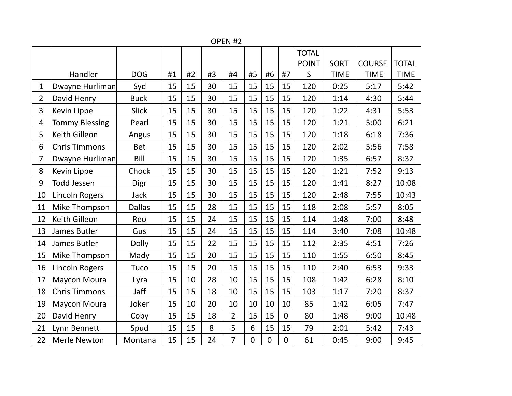|                |                       |               |    |    |    | OPEN <sub>#2</sub> |                |             |                |              |             |               |              |
|----------------|-----------------------|---------------|----|----|----|--------------------|----------------|-------------|----------------|--------------|-------------|---------------|--------------|
|                |                       |               |    |    |    |                    |                |             |                | <b>TOTAL</b> |             |               |              |
|                |                       |               |    |    |    |                    |                |             |                | <b>POINT</b> | <b>SORT</b> | <b>COURSE</b> | <b>TOTAL</b> |
|                | Handler               | <b>DOG</b>    | #1 | #2 | #3 | #4                 | #5             | #6          | #7             | S            | <b>TIME</b> | <b>TIME</b>   | <b>TIME</b>  |
| $\mathbf{1}$   | Dwayne Hurliman       | Syd           | 15 | 15 | 30 | 15                 | 15             | 15          | 15             | 120          | 0:25        | 5:17          | 5:42         |
| $\overline{2}$ | David Henry           | <b>Buck</b>   | 15 | 15 | 30 | 15                 | 15             | 15          | 15             | 120          | 1:14        | 4:30          | 5:44         |
| 3              | Kevin Lippe           | <b>Slick</b>  | 15 | 15 | 30 | 15                 | 15             | 15          | 15             | 120          | 1:22        | 4:31          | 5:53         |
| 4              | <b>Tommy Blessing</b> | Pearl         | 15 | 15 | 30 | 15                 | 15             | 15          | 15             | 120          | 1:21        | 5:00          | 6:21         |
| 5              | Keith Gilleon         | Angus         | 15 | 15 | 30 | 15                 | 15             | 15          | 15             | 120          | 1:18        | 6:18          | 7:36         |
| 6              | <b>Chris Timmons</b>  | <b>Bet</b>    | 15 | 15 | 30 | 15                 | 15             | 15          | 15             | 120          | 2:02        | 5:56          | 7:58         |
| $\overline{7}$ | Dwayne Hurliman       | Bill          | 15 | 15 | 30 | 15                 | 15             | 15          | 15             | 120          | 1:35        | 6:57          | 8:32         |
| 8              | Kevin Lippe           | Chock         | 15 | 15 | 30 | 15                 | 15             | 15          | 15             | 120          | 1:21        | 7:52          | 9:13         |
| 9              | <b>Todd Jessen</b>    | Digr          | 15 | 15 | 30 | 15                 | 15             | 15          | 15             | 120          | 1:41        | 8:27          | 10:08        |
| 10             | <b>Lincoln Rogers</b> | <b>Jack</b>   | 15 | 15 | 30 | 15                 | 15             | 15          | 15             | 120          | 2:48        | 7:55          | 10:43        |
| 11             | Mike Thompson         | <b>Dallas</b> | 15 | 15 | 28 | 15                 | 15             | 15          | 15             | 118          | 2:08        | 5:57          | 8:05         |
| 12             | Keith Gilleon         | Reo           | 15 | 15 | 24 | 15                 | 15             | 15          | 15             | 114          | 1:48        | 7:00          | 8:48         |
| 13             | James Butler          | Gus           | 15 | 15 | 24 | 15                 | 15             | 15          | 15             | 114          | 3:40        | 7:08          | 10:48        |
| 14             | James Butler          | <b>Dolly</b>  | 15 | 15 | 22 | 15                 | 15             | 15          | 15             | 112          | 2:35        | 4:51          | 7:26         |
| 15             | Mike Thompson         | Mady          | 15 | 15 | 20 | 15                 | 15             | 15          | 15             | 110          | 1:55        | 6:50          | 8:45         |
| 16             | <b>Lincoln Rogers</b> | Tuco          | 15 | 15 | 20 | 15                 | 15             | 15          | 15             | 110          | 2:40        | 6:53          | 9:33         |
| 17             | Maycon Moura          | Lyra          | 15 | 10 | 28 | 10                 | 15             | 15          | 15             | 108          | 1:42        | 6:28          | 8:10         |
| 18             | <b>Chris Timmons</b>  | Jaff          | 15 | 15 | 18 | 10                 | 15             | 15          | 15             | 103          | 1:17        | 7:20          | 8:37         |
| 19             | <b>Maycon Moura</b>   | Joker         | 15 | 10 | 20 | 10                 | 10             | 10          | 10             | 85           | 1:42        | 6:05          | 7:47         |
| 20             | David Henry           | Coby          | 15 | 15 | 18 | $\overline{2}$     | 15             | 15          | $\overline{0}$ | 80           | 1:48        | 9:00          | 10:48        |
| 21             | Lynn Bennett          | Spud          | 15 | 15 | 8  | 5                  | 6              | 15          | 15             | 79           | 2:01        | 5:42          | 7:43         |
| 22             | <b>Merle Newton</b>   | Montana       | 15 | 15 | 24 | $\overline{7}$     | $\overline{0}$ | $\mathbf 0$ | $\overline{0}$ | 61           | 0:45        | 9:00          | 9:45         |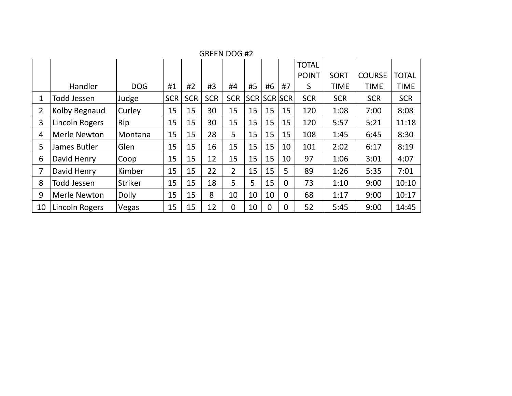|                |                    |                |            |            |            |                |    |                |          | <b>TOTAL</b> |             |               |              |
|----------------|--------------------|----------------|------------|------------|------------|----------------|----|----------------|----------|--------------|-------------|---------------|--------------|
|                |                    |                |            |            |            |                |    |                |          | <b>POINT</b> | <b>SORT</b> | <b>COURSE</b> | <b>TOTAL</b> |
|                | Handler            | <b>DOG</b>     | #1         | #2         | #3         | #4             | #5 | #6             | #7       | S            | TIME        | <b>TIME</b>   | <b>TIME</b>  |
| 1              | Todd Jessen        | Judge          | <b>SCR</b> | <b>SCR</b> | <b>SCR</b> | <b>SCR</b>     |    | SCR SCR SCR    |          | <b>SCR</b>   | <b>SCR</b>  | <b>SCR</b>    | <b>SCR</b>   |
| $\overline{2}$ | Kolby Begnaud      | Curley         | 15         | 15         | 30         | 15             | 15 | 15             | 15       | 120          | 1:08        | 7:00          | 8:08         |
| 3              | Lincoln Rogers     | Rip            | 15         | 15         | 30         | 15             | 15 | 15             | 15       | 120          | 5:57        | 5:21          | 11:18        |
| 4              | Merle Newton       | Montana        | 15         | 15         | 28         | 5              | 15 | 15             | 15       | 108          | 1:45        | 6:45          | 8:30         |
| 5              | James Butler       | Glen           | 15         | 15         | 16         | 15             | 15 | 15             | 10       | 101          | 2:02        | 6:17          | 8:19         |
| 6              | David Henry        | Coop           | 15         | 15         | 12         | 15             | 15 | 15             | 10       | 97           | 1:06        | 3:01          | 4:07         |
| 7              | David Henry        | Kimber         | 15         | 15         | 22         | 2              | 15 | 15             | 5        | 89           | 1:26        | 5:35          | 7:01         |
| 8              | <b>Todd Jessen</b> | <b>Striker</b> | 15         | 15         | 18         | 5              | 5  | 15             | $\Omega$ | 73           | 1:10        | 9:00          | 10:10        |
| 9              | Merle Newton       | <b>Dolly</b>   | 15         | 15         | 8          | 10             | 10 | 10             | $\Omega$ | 68           | 1:17        | 9:00          | 10:17        |
| 10             | Lincoln Rogers     | Vegas          | 15         | 15         | 12         | $\overline{0}$ | 10 | $\overline{0}$ | $\Omega$ | 52           | 5:45        | 9:00          | 14:45        |

GREEN DOG #2